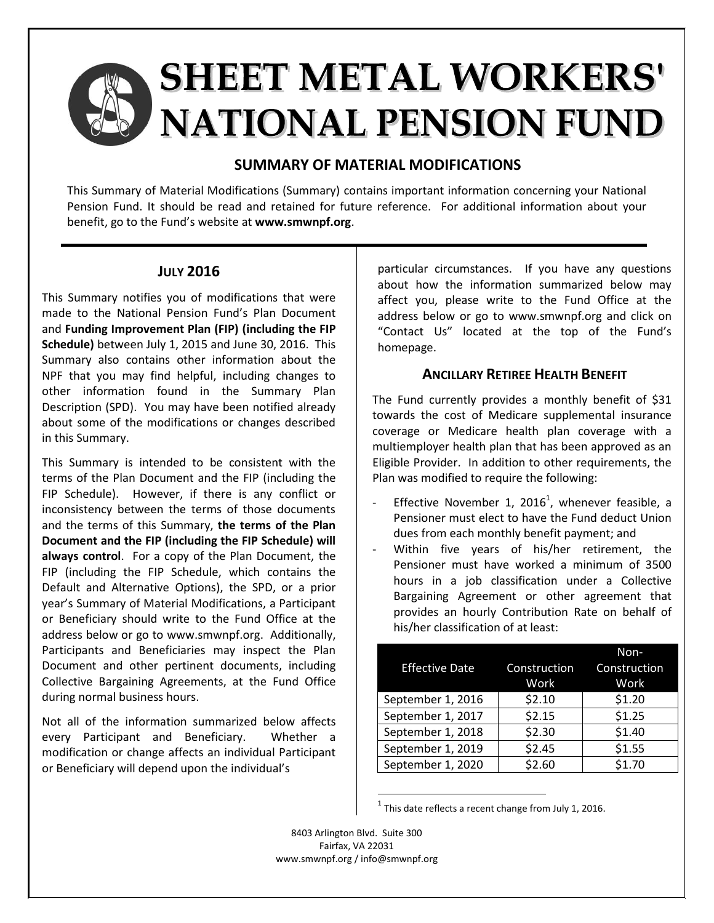# **SHEET METAL WORKERS' NATIONAL PENSION FUND**

## **SUMMARY OF MATERIAL MODIFICATIONS**

This Summary of Material Modifications (Summary) contains important information concerning your National Pension Fund. It should be read and retained for future reference. For additional information about your benefit, go to the Fund's website at **www.smwnpf.org**.

## **JULY 2016**

This Summary notifies you of modifications that were made to the National Pension Fund's Plan Document and **Funding Improvement Plan (FIP) (including the FIP Schedule)** between July 1, 2015 and June 30, 2016. This Summary also contains other information about the NPF that you may find helpful, including changes to other information found in the Summary Plan Description (SPD). You may have been notified already about some of the modifications or changes described in this Summary.

This Summary is intended to be consistent with the terms of the Plan Document and the FIP (including the FIP Schedule). However, if there is any conflict or inconsistency between the terms of those documents and the terms of this Summary, **the terms of the Plan Document and the FIP (including the FIP Schedule) will always control**. For a copy of the Plan Document, the FIP (including the FIP Schedule, which contains the Default and Alternative Options), the SPD, or a prior year's Summary of Material Modifications, a Participant or Beneficiary should write to the Fund Office at the address below or go to www.smwnpf.org. Additionally, Participants and Beneficiaries may inspect the Plan Document and other pertinent documents, including Collective Bargaining Agreements, at the Fund Office during normal business hours.

Not all of the information summarized below affects every Participant and Beneficiary. Whether a modification or change affects an individual Participant or Beneficiary will depend upon the individual's

particular circumstances. If you have any questions about how the information summarized below may affect you, please write to the Fund Office at the address below or go to www.smwnpf.org and click on "Contact Us" located at the top of the Fund's homepage.

## **ANCILLARY RETIREE HEALTH BENEFIT**

The Fund currently provides a monthly benefit of \$31 towards the cost of Medicare supplemental insurance coverage or Medicare health plan coverage with a multiemployer health plan that has been approved as an Eligible Provider. In addition to other requirements, the Plan was modified to require the following:

- Effective November 1, 2016<sup>1</sup>, whenever feasible, a Pensioner must elect to have the Fund deduct Union dues from each monthly benefit payment; and
- Within five years of his/her retirement, the Pensioner must have worked a minimum of 3500 hours in a job classification under a Collective Bargaining Agreement or other agreement that provides an hourly Contribution Rate on behalf of his/her classification of at least:

|                       |              | Non-         |
|-----------------------|--------------|--------------|
| <b>Effective Date</b> | Construction | Construction |
|                       | Work         | Work         |
| September 1, 2016     | \$2.10       | \$1.20       |
| September 1, 2017     | \$2.15       | \$1.25       |
| September 1, 2018     | \$2.30       | \$1.40       |
| September 1, 2019     | \$2.45       | \$1.55       |
| September 1, 2020     | \$2.60       | \$1.70       |

 $^1$  This date reflects a recent change from July 1, 2016.

8403 Arlington Blvd. Suite 300 Fairfax, VA 22031 www.smwnpf.org / info@smwnpf.org

 $\overline{a}$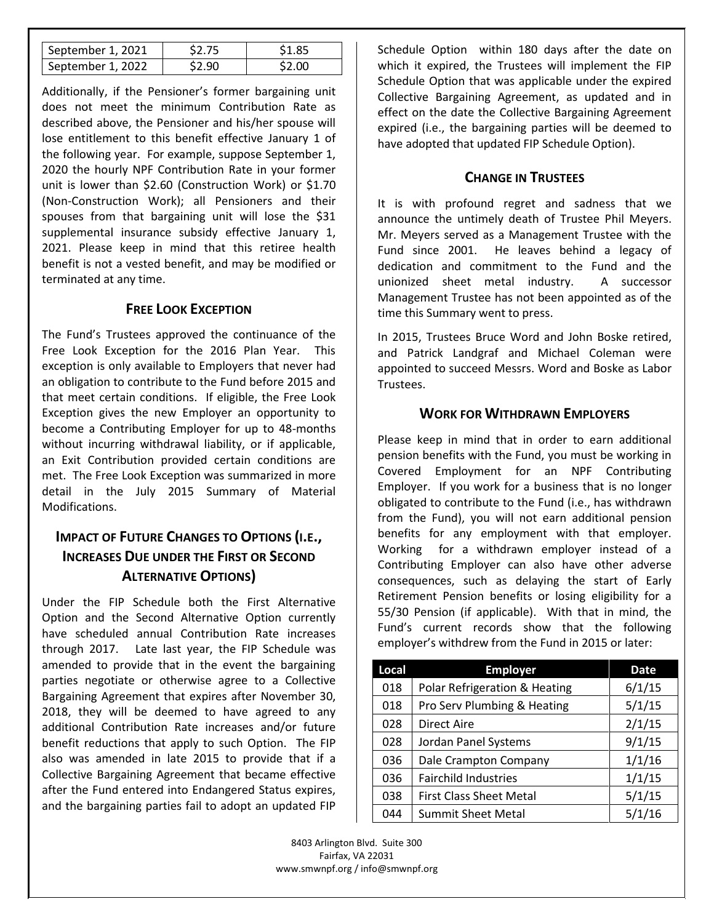| September 1, 2021 | \$2.75 | \$1.85 |
|-------------------|--------|--------|
| September 1, 2022 | S2.90  | \$2.00 |

Additionally, if the Pensioner's former bargaining unit does not meet the minimum Contribution Rate as described above, the Pensioner and his/her spouse will lose entitlement to this benefit effective January 1 of the following year. For example, suppose September 1, 2020 the hourly NPF Contribution Rate in your former unit is lower than \$2.60 (Construction Work) or \$1.70 (Non-Construction Work); all Pensioners and their spouses from that bargaining unit will lose the \$31 supplemental insurance subsidy effective January 1, 2021. Please keep in mind that this retiree health benefit is not a vested benefit, and may be modified or terminated at any time.

#### **FREE LOOK EXCEPTION**

The Fund's Trustees approved the continuance of the Free Look Exception for the 2016 Plan Year. This exception is only available to Employers that never had an obligation to contribute to the Fund before 2015 and that meet certain conditions. If eligible, the Free Look Exception gives the new Employer an opportunity to become a Contributing Employer for up to 48-months without incurring withdrawal liability, or if applicable, an Exit Contribution provided certain conditions are met. The Free Look Exception was summarized in more detail in the July 2015 Summary of Material Modifications.

## **IMPACT OF FUTURE CHANGES TO OPTIONS (I.E., INCREASES DUE UNDER THE FIRST OR SECOND ALTERNATIVE OPTIONS)**

Under the FIP Schedule both the First Alternative Option and the Second Alternative Option currently have scheduled annual Contribution Rate increases through 2017. Late last year, the FIP Schedule was amended to provide that in the event the bargaining parties negotiate or otherwise agree to a Collective Bargaining Agreement that expires after November 30, 2018, they will be deemed to have agreed to any additional Contribution Rate increases and/or future benefit reductions that apply to such Option. The FIP also was amended in late 2015 to provide that if a Collective Bargaining Agreement that became effective after the Fund entered into Endangered Status expires, and the bargaining parties fail to adopt an updated FIP

Schedule Option within 180 days after the date on which it expired, the Trustees will implement the FIP Schedule Option that was applicable under the expired Collective Bargaining Agreement, as updated and in effect on the date the Collective Bargaining Agreement expired (i.e., the bargaining parties will be deemed to have adopted that updated FIP Schedule Option).

### **CHANGE IN TRUSTEES**

It is with profound regret and sadness that we announce the untimely death of Trustee Phil Meyers. Mr. Meyers served as a Management Trustee with the Fund since 2001. He leaves behind a legacy of dedication and commitment to the Fund and the unionized sheet metal industry. A successor Management Trustee has not been appointed as of the time this Summary went to press.

In 2015, Trustees Bruce Word and John Boske retired, and Patrick Landgraf and Michael Coleman were appointed to succeed Messrs. Word and Boske as Labor Trustees.

#### **WORK FOR WITHDRAWN EMPLOYERS**

Please keep in mind that in order to earn additional pension benefits with the Fund, you must be working in Covered Employment for an NPF Contributing Employer. If you work for a business that is no longer obligated to contribute to the Fund (i.e., has withdrawn from the Fund), you will not earn additional pension benefits for any employment with that employer. Working for a withdrawn employer instead of a Contributing Employer can also have other adverse consequences, such as delaying the start of Early Retirement Pension benefits or losing eligibility for a 55/30 Pension (if applicable). With that in mind, the Fund's current records show that the following employer's withdrew from the Fund in 2015 or later:

| Local | <b>Employer</b>                | <b>Date</b> |
|-------|--------------------------------|-------------|
| 018   | Polar Refrigeration & Heating  | 6/1/15      |
| 018   | Pro Serv Plumbing & Heating    | 5/1/15      |
| 028   | <b>Direct Aire</b>             | 2/1/15      |
| 028   | Jordan Panel Systems           | 9/1/15      |
| 036   | Dale Crampton Company          | 1/1/16      |
| 036   | <b>Fairchild Industries</b>    | 1/1/15      |
| 038   | <b>First Class Sheet Metal</b> | 5/1/15      |
| 044   | <b>Summit Sheet Metal</b>      | 5/1/16      |

8403 Arlington Blvd. Suite 300 Fairfax, VA 22031 www.smwnpf.org / info@smwnpf.org